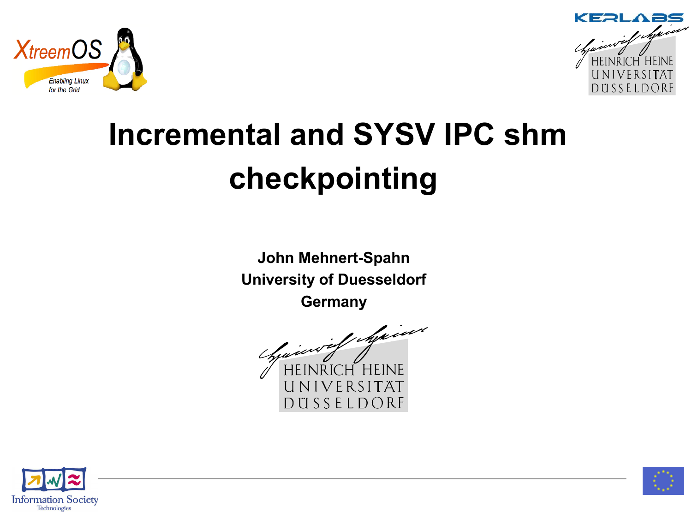



# **Incremental and SYSV IPC shm checkpointing**

**John Mehnert-Spahn University of Duesseldorf Germany**





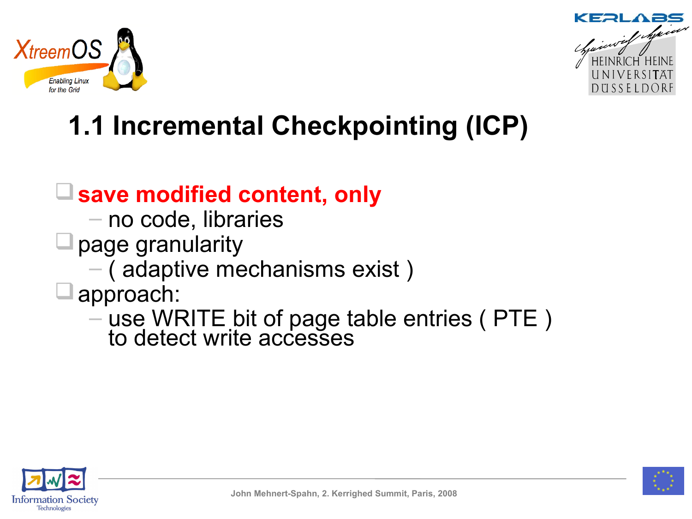



## **1.1 Incremental Checkpointing (ICP)**

#### **save modified content, only**

- no code, libraries
- $\Box$  page granularity
	- ( adaptive mechanisms exist )

#### approach:

– use WRITE bit of page table entries ( PTE ) to detect write accesses



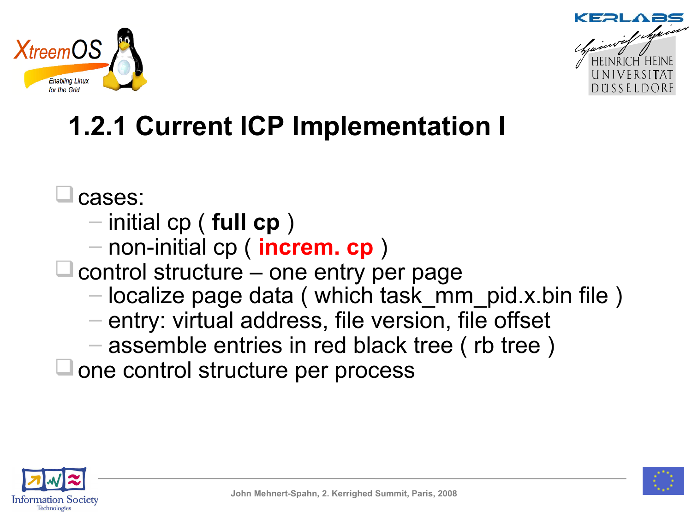



## **1.2.1 Current ICP Implementation I**

cases:

- initial cp ( **full cp** )
- non-initial cp ( **increm. cp** )
- $\Box$  control structure one entry per page
	- localize page data ( which task\_mm\_pid.x.bin file )
	- entry: virtual address, file version, file offset
	- assemble entries in red black tree ( rb tree )
- $\Box$  one control structure per process



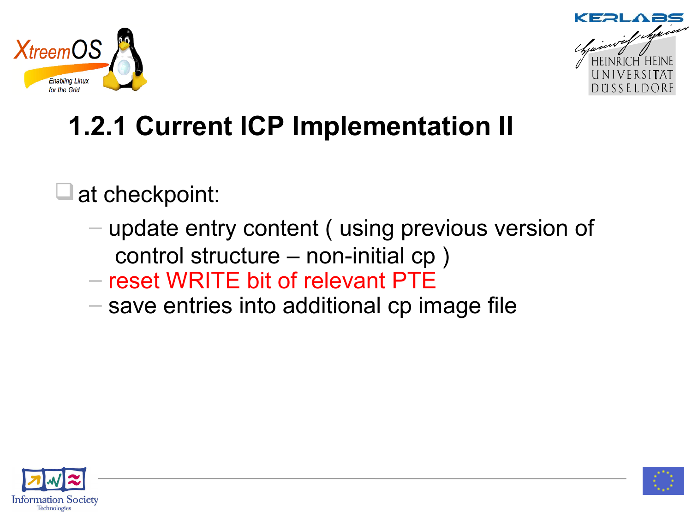



## **1.2.1 Current ICP Implementation II**

at checkpoint:

- update entry content ( using previous version of control structure – non-initial cp )
- reset WRITE bit of relevant PTE
- save entries into additional cp image file



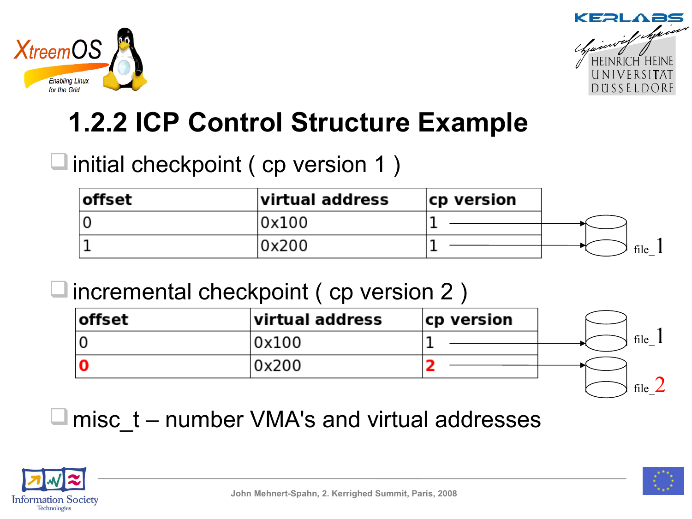



### **1.2.2 ICP Control Structure Example**

### $\Box$  initial checkpoint ( cp version 1 )

| <b>offset</b> | virtual address | cp version |      |
|---------------|-----------------|------------|------|
|               | 0x100           |            |      |
|               | 0x200           |            | file |

#### $\Box$  incremental checkpoint ( cp version 2 )

| offset | virtual address | cp version |      |
|--------|-----------------|------------|------|
|        | 0x100           |            | file |
| ١C     | 0x200           |            |      |
|        |                 |            | file |

 $\blacksquare$  misc  $\:$  – number VMA's and virtual addresses



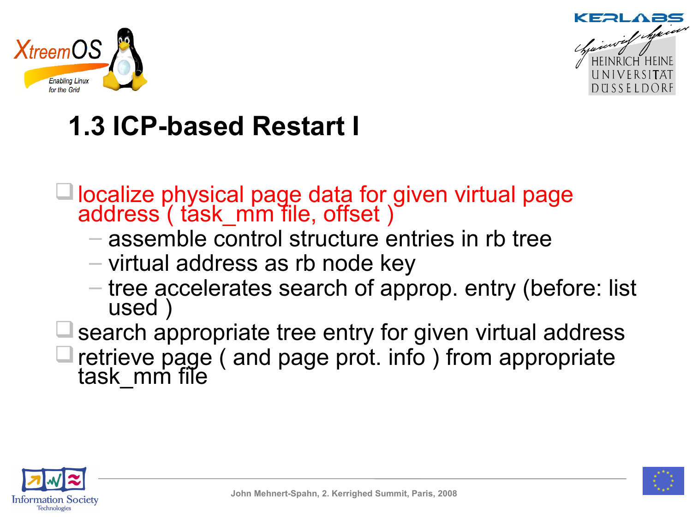



## **1.3 ICP-based Restart I**

- □ localize physical page data for given virtual page address ( task\_mm file, offset )
	- assemble control structure entries in rb tree
	- virtual address as rb node key
	- tree accelerates search of approp. entry (before: list used )
- search appropriate tree entry for given virtual address retrieve page ( and page prot. info ) from appropriate task mm file



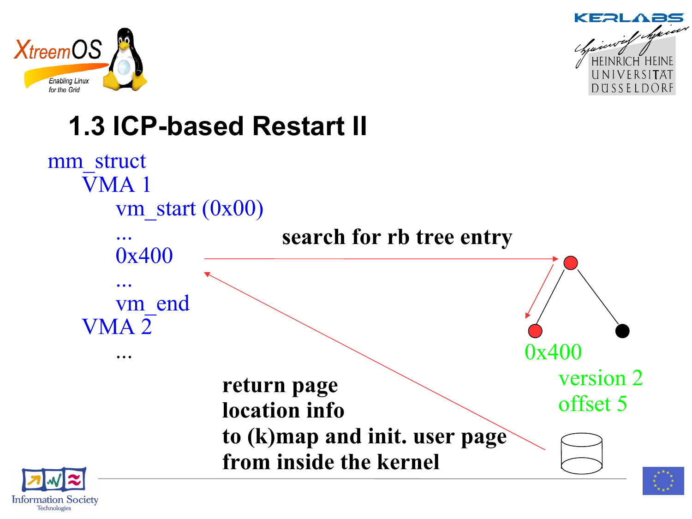

**Information Society**<br>Technologies



## **1.3 ICP-based Restart II**

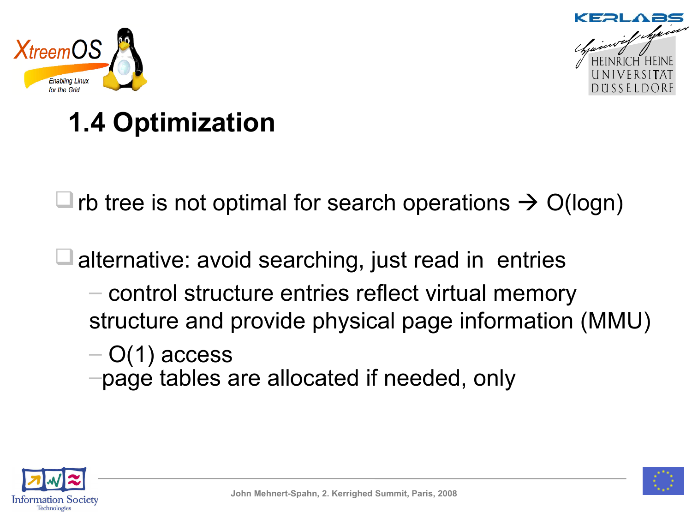



## **1.4 Optimization**

 $\Box$  rb tree is not optimal for search operations  $\rightarrow$  O(logn)

 $\Box$  alternative: avoid searching, just read in entries

- control structure entries reflect virtual memory structure and provide physical page information (MMU)
- $-$  O(1) access
- –page tables are allocated if needed, only



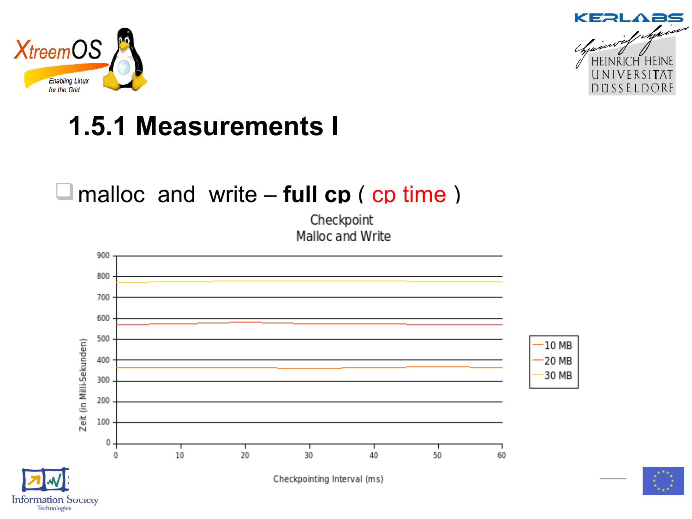

**Information Society** Technologies



## **1.5.1 Measurements I**

#### □ malloc and write – **full cp** ( cp time )

Checkpoint Malloc and Write



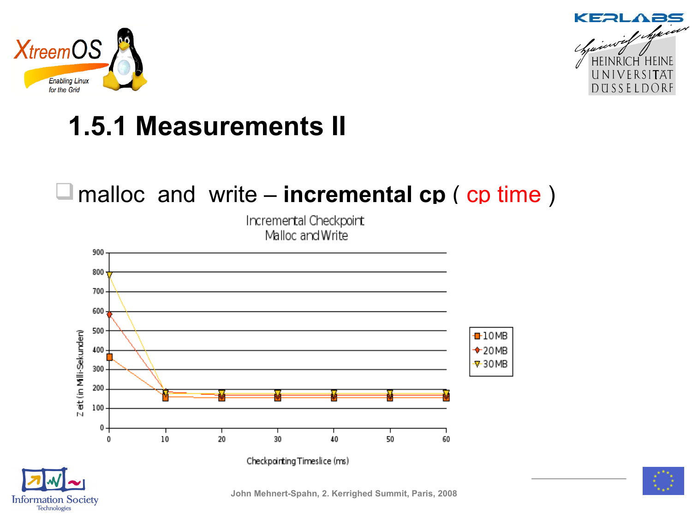

**Information Society**<br>Technologies



## **1.5.1 Measurements II**

#### □ malloc and write – **incremental cp** ( cp time )

Incremental Checkpoint Malloc and Write



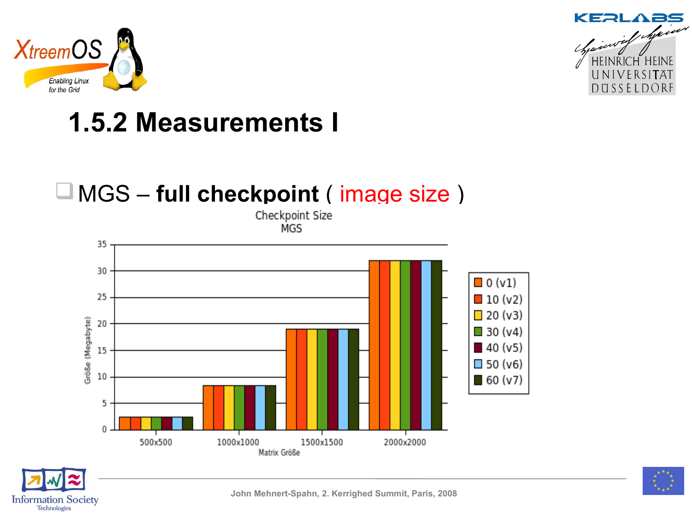



### **1.5.2 Measurements I**

### MGS – **full checkpoint** ( image size )

Checkpoint Size MGS





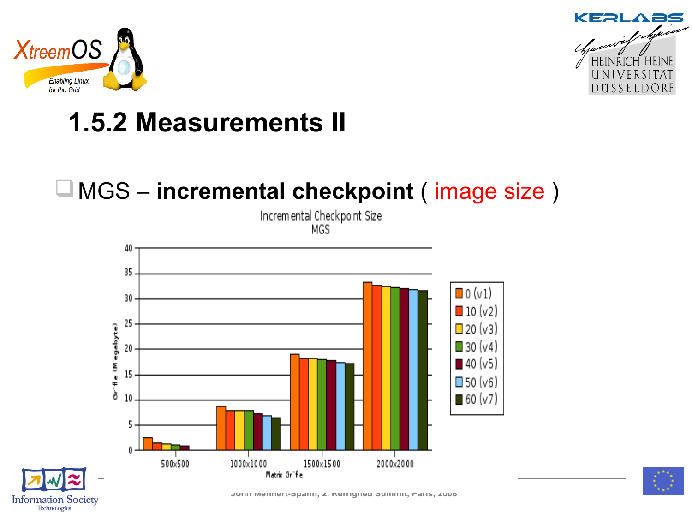



### **1.5.2 Measurements II**

#### MGS – **incremental checkpoint** ( image size )

Incremental Checkpoint Size MGS





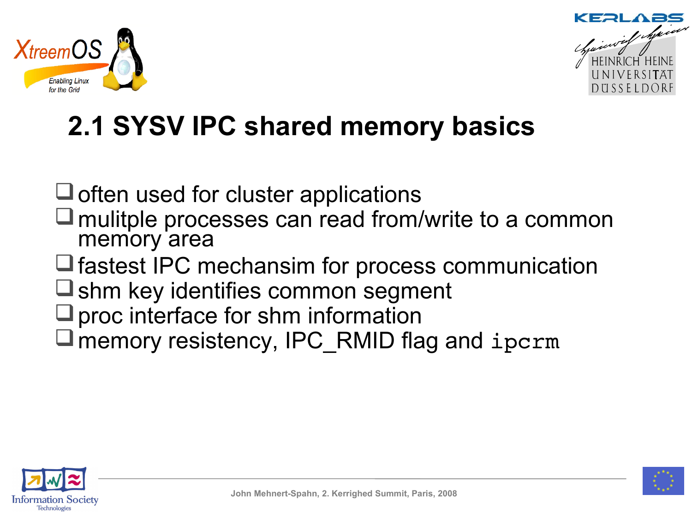



### **2.1 SYSV IPC shared memory basics**

 $\sqcup$  often used for cluster applications

- mulitple processes can read from/write to a common memory area
- $\Box$  fastest IPC mechansim for process communication
- $\Box$  shm key identifies common segment
- $\Box$  proc interface for shm information
- $\Box$  memory resistency, IPC RMID flag and ipcrm



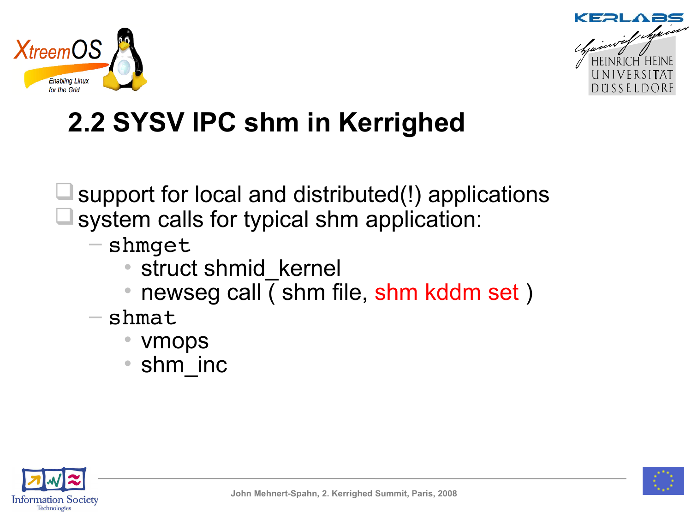



## **2.2 SYSV IPC shm in Kerrighed**

- support for local and distributed(!) applications system calls for typical shm application:
	- shmget
		- struct shmid kernel
		- newseg call ( shm file, shm kddm set )
	- $-$  shmat
		- vmops
		- shm inc



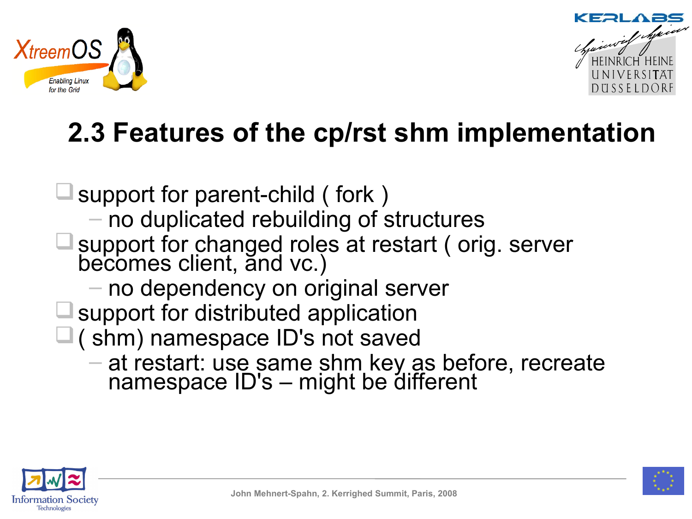



### **2.3 Features of the cp/rst shm implementation**

- support for parent-child ( fork ) – no duplicated rebuilding of structures □ support for changed roles at restart (orig. server becomes client, and vc.) – no dependency on original server support for distributed application  $\square$  (shm) namespace ID's not saved – at restart: use same shm key as before, recreate
	- namespace ID's might be different



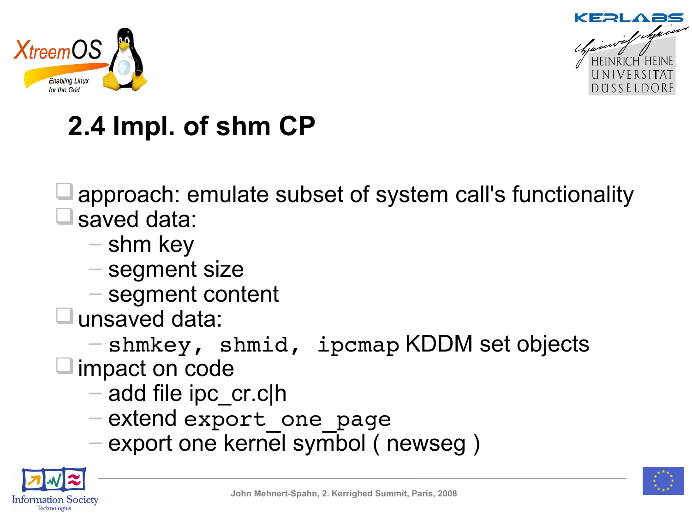



## **2.4 Impl. of shm CP**

approach: emulate subset of system call's functionality saved data:

- shm key
- segment size
- segment content
- unsaved data:

– shmkey, shmid, ipcmap KDDM set objects

 $\square$  impact on code

- $-$  add file ipc  $cr.c|h$
- extend export\_one\_page
- export one kernel symbol ( newseg )



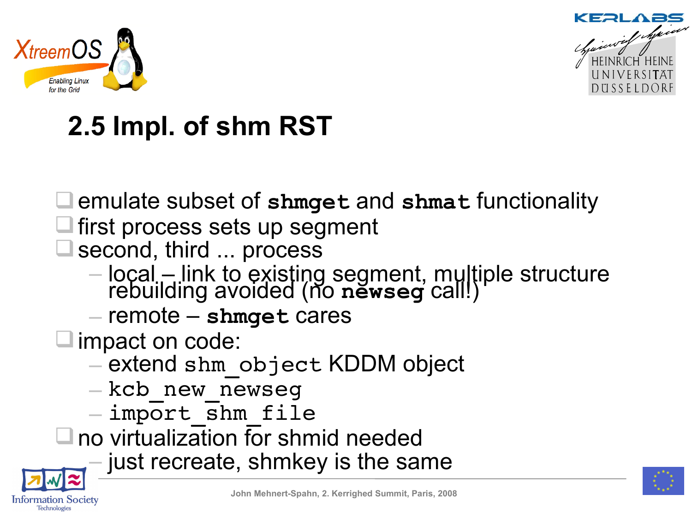



## **2.5 Impl. of shm RST**

emulate subset of **shmget** and **shmat** functionality

- first process sets up segment
- second, third ... process
	- local link to existing segment, multiple structure rebuilding avoided (no **newseg** call!)
	- remote **shmget** cares
- □ impact on code:
	- extend shm\_object KDDM object
	- kcb\_new\_newseg
	- import\_shm\_file
- $\square$  no virtualization for shmid needed
	- just recreate, shmkey is the same



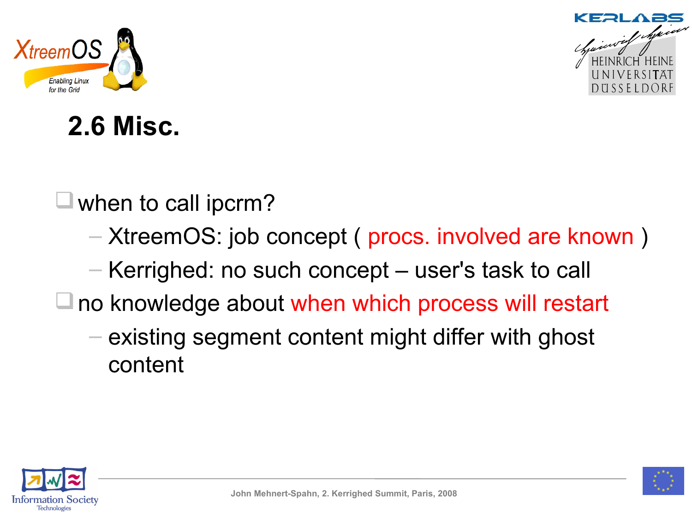



### **2.6 Misc.**

 $\sqcup$  when to call ipcrm?

- XtreemOS: job concept ( procs. involved are known )
- Kerrighed: no such concept user's task to call
- $\Box$  no knowledge about when which process will restart
	- existing segment content might differ with ghost content



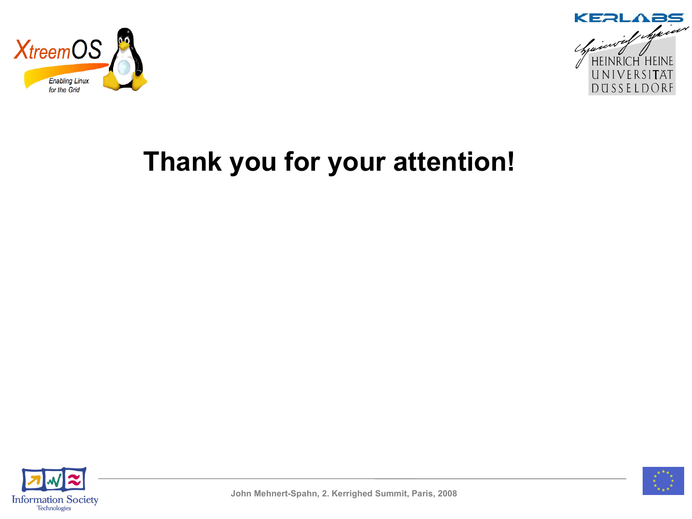



### **Thank you for your attention!**



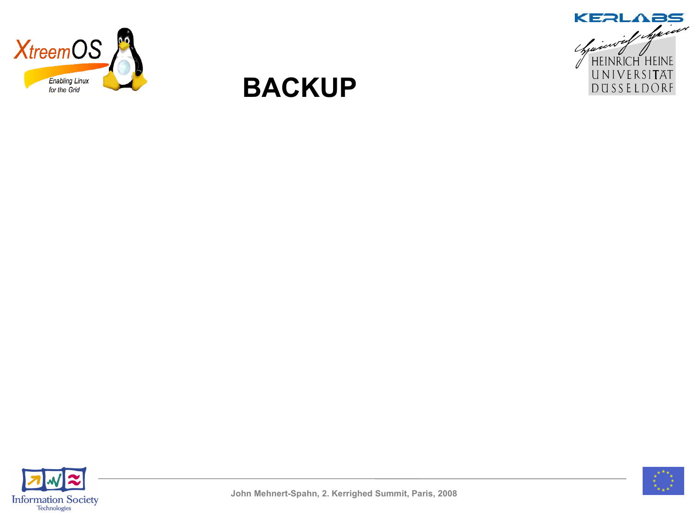



### **BACKUP**